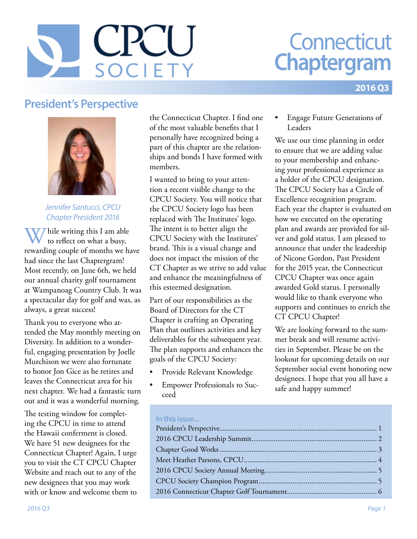# CRU SOCIETY

## **Connecticut Chaptergram**

#### **2016 Q3**

## **President's Perspective**



#### *Jennifer Santucci, CPCU Chapter President 2016*

Thile writing this I am able to reflect on what a busy, rewarding couple of months we have had since the last Chaptergram! Most recently, on June 6th, we held our annual charity golf tournament at Wampanoag Country Club. It was a spectacular day for golf and was, as always, a great success!

Thank you to everyone who attended the May monthly meeting on Diversity. In addition to a wonderful, engaging presentation by Joelle Murchison we were also fortunate to honor Jon Gice as he retires and leaves the Connecticut area for his next chapter. We had a fantastic turn out and it was a wonderful morning.

The testing window for completing the CPCU in time to attend the Hawaii conferment is closed. We have 51 new designees for the Connecticut Chapter! Again, I urge you to visit the CT CPCU Chapter Website and reach out to any of the new designees that you may work with or know and welcome them to

the Connecticut Chapter. I find one of the most valuable benefits that I personally have recognized being a part of this chapter are the relationships and bonds I have formed with members.

I wanted to bring to your attention a recent visible change to the CPCU Society. You will notice that the CPCU Society logo has been replaced with The Institutes' logo. The intent is to better align the CPCU Society with the Institutes' brand. This is a visual change and does not impact the mission of the CT Chapter as we strive to add value and enhance the meaningfulness of this esteemed designation.

Part of our responsibilities as the Board of Directors for the CT Chapter is crafting an Operating Plan that outlines activities and key deliverables for the subsequent year. The plan supports and enhances the goals of the CPCU Society:

- Provide Relevant Knowledge
- Empower Professionals to Succeed

• Engage Future Generations of Leaders

We use our time planning in order to ensure that we are adding value to your membership and enhancing your professional experience as a holder of the CPCU designation. The CPCU Society has a Circle of Excellence recognition program. Each year the chapter is evaluated on how we executed on the operating plan and awards are provided for silver and gold status. I am pleased to announce that under the leadership of Nicone Gordon, Past President for the 2015 year, the Connecticut CPCU Chapter was once again awarded Gold status. I personally would like to thank everyone who supports and continues to enrich the CT CPCU Chapter!

We are looking forward to the summer break and will resume activities in September. Please be on the lookout for upcoming details on our September social event honoring new designees. I hope that you all have a safe and happy summer!

#### **In this issue...**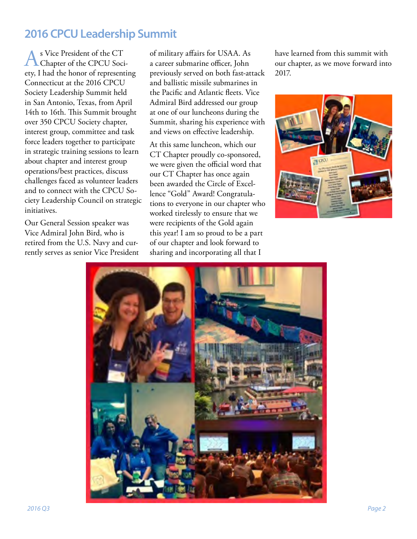## <span id="page-1-0"></span>**2016 CPCU Leadership Summit**

As Vice President of the CT<br>Chapter of the CPCU Society, I had the honor of representing Connecticut at the 2016 CPCU Society Leadership Summit held in San Antonio, Texas, from April 14th to 16th. This Summit brought over 350 CPCU Society chapter, interest group, committee and task force leaders together to participate in strategic training sessions to learn about chapter and interest group operations/best practices, discuss challenges faced as volunteer leaders and to connect with the CPCU Society Leadership Council on strategic initiatives.

Our General Session speaker was Vice Admiral John Bird, who is retired from the U.S. Navy and currently serves as senior Vice President of military affairs for USAA. As a career submarine officer, John previously served on both fast-attack and ballistic missile submarines in the Pacific and Atlantic fleets. Vice Admiral Bird addressed our group at one of our luncheons during the Summit, sharing his experience with and views on effective leadership.

At this same luncheon, which our CT Chapter proudly co-sponsored, we were given the official word that our CT Chapter has once again been awarded the Circle of Excellence "Gold" Award! Congratulations to everyone in our chapter who worked tirelessly to ensure that we were recipients of the Gold again this year! I am so proud to be a part of our chapter and look forward to sharing and incorporating all that I

have learned from this summit with our chapter, as we move forward into 2017.



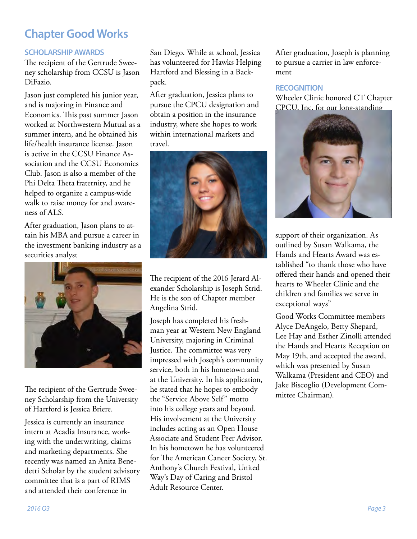## <span id="page-2-0"></span>**Chapter Good Works**

#### **SCHOLARSHIP AWARDS**

The recipient of the Gertrude Sweeney scholarship from CCSU is Jason DiFazio.

Jason just completed his junior year, and is majoring in Finance and Economics. This past summer Jason worked at Northwestern Mutual as a summer intern, and he obtained his life/health insurance license. Jason is active in the CCSU Finance Association and the CCSU Economics Club. Jason is also a member of the Phi Delta Theta fraternity, and he helped to organize a campus-wide walk to raise money for and awareness of ALS.

After graduation, Jason plans to attain his MBA and pursue a career in the investment banking industry as a securities analyst



The recipient of the Gertrude Sweeney Scholarship from the University of Hartford is Jessica Briere.

Jessica is currently an insurance intern at Acadia Insurance, working with the underwriting, claims and marketing departments. She recently was named an Anita Benedetti Scholar by the student advisory committee that is a part of RIMS and attended their conference in

San Diego. While at school, Jessica has volunteered for Hawks Helping Hartford and Blessing in a Backpack.

After graduation, Jessica plans to pursue the CPCU designation and obtain a position in the insurance industry, where she hopes to work within international markets and travel.



The recipient of the 2016 Jerard Alexander Scholarship is Joseph Strid. He is the son of Chapter member Angelina Strid.

Joseph has completed his freshman year at Western New England University, majoring in Criminal Justice. The committee was very impressed with Joseph's community service, both in his hometown and at the University. In his application, he stated that he hopes to embody the "Service Above Self" motto into his college years and beyond. His involvement at the University includes acting as an Open House Associate and Student Peer Advisor. In his hometown he has volunteered for The American Cancer Society, St. Anthony's Church Festival, United Way's Day of Caring and Bristol Adult Resource Center.

After graduation, Joseph is planning to pursue a carrier in law enforcement

#### **RECOGNITION**

Wheeler Clinic honored CT Chapter CPCU, Inc. for our long-standing



support of their organization. As outlined by Susan Walkama, the Hands and Hearts Award was established "to thank those who have offered their hands and opened their hearts to Wheeler Clinic and the children and families we serve in exceptional ways"

Good Works Committee members Alyce DeAngelo, Betty Shepard, Lee Hay and Esther Zinolli attended the Hands and Hearts Reception on May 19th, and accepted the award, which was presented by Susan Walkama (President and CEO) and Jake Biscoglio (Development Committee Chairman).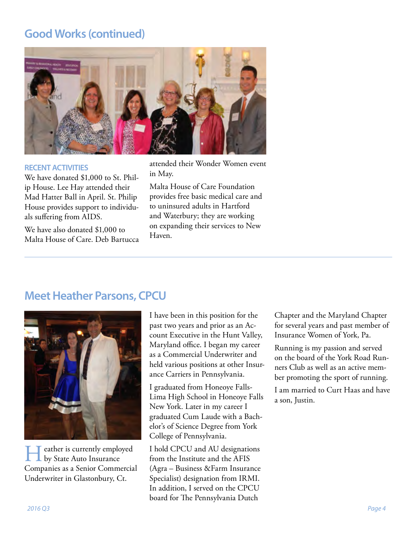## <span id="page-3-0"></span>**Good Works (continued)**



#### **RECENT ACTIVITIES**

We have donated \$1,000 to St. Philip House. Lee Hay attended their Mad Hatter Ball in April. St. Philip House provides support to individuals suffering from AIDS.

We have also donated \$1,000 to Malta House of Care. Deb Bartucca attended their Wonder Women event in May.

Malta House of Care Foundation provides free basic medical care and to uninsured adults in Hartford and Waterbury; they are working on expanding their services to New Haven.

### **Meet Heather Parsons, CPCU**



 $\blacksquare$  eather is currently employed by State Auto Insurance Companies as a Senior Commercial Underwriter in Glastonbury, Ct.

I have been in this position for the past two years and prior as an Account Executive in the Hunt Valley, Maryland office. I began my career as a Commercial Underwriter and held various positions at other Insurance Carriers in Pennsylvania.

I graduated from Honeoye Falls-Lima High School in Honeoye Falls New York. Later in my career I graduated Cum Laude with a Bachelor's of Science Degree from York College of Pennsylvania.

I hold CPCU and AU designations from the Institute and the AFIS (Agra – Business &Farm Insurance Specialist) designation from IRMI. In addition, I served on the CPCU board for The Pennsylvania Dutch

Chapter and the Maryland Chapter for several years and past member of Insurance Women of York, Pa.

Running is my passion and served on the board of the York Road Runners Club as well as an active member promoting the sport of running.

I am married to Curt Haas and have a son, Justin.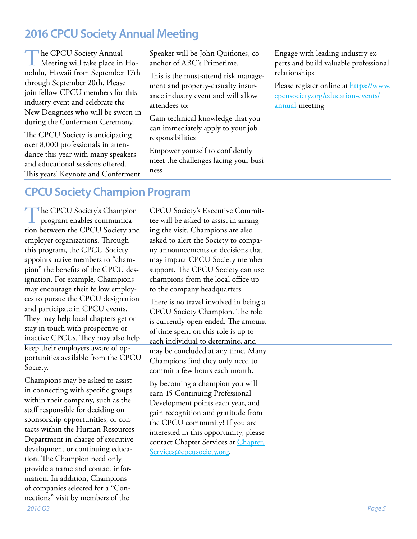## <span id="page-4-0"></span>**2016 CPCU Society Annual Meeting**

The CPCU Society Annual<br>Meeting will take place in Honolulu, Hawaii from September 17th through September 20th. Please join fellow CPCU members for this industry event and celebrate the New Designees who will be sworn in during the Conferment Ceremony.

The CPCU Society is anticipating over 8,000 professionals in attendance this year with many speakers and educational sessions offered. This years' Keynote and Conferment Speaker will be John Quińones, coanchor of ABC's Primetime.

This is the must-attend risk management and property-casualty insurance industry event and will allow attendees to:

Gain technical knowledge that you can immediately apply to your job responsibilities

Empower yourself to confidently meet the challenges facing your business

Engage with leading industry experts and build valuable professional relationships

Please register online at [https://www.](https://www.cpcusociety.org/education-events/annual) [cpcusociety.org/education-events/](https://www.cpcusociety.org/education-events/annual) [annual-](https://www.cpcusociety.org/education-events/annual)meeting

## **CPCU Society Champion Program**

The CPCU Society's Champion program enables communication between the CPCU Society and employer organizations. Through this program, the CPCU Society appoints active members to "champion" the benefits of the CPCU designation. For example, Champions may encourage their fellow employees to pursue the CPCU designation and participate in CPCU events. They may help local chapters get or stay in touch with prospective or inactive CPCUs. They may also help keep their employers aware of opportunities available from the CPCU Society.

*2016 Q3 Page 5* Champions may be asked to assist in connecting with specific groups within their company, such as the staff responsible for deciding on sponsorship opportunities, or contacts within the Human Resources Department in charge of executive development or continuing education. The Champion need only provide a name and contact information. In addition, Champions of companies selected for a "Connections" visit by members of the

CPCU Society's Executive Committee will be asked to assist in arranging the visit. Champions are also asked to alert the Society to company announcements or decisions that may impact CPCU Society member support. The CPCU Society can use champions from the local office up to the company headquarters.

There is no travel involved in being a CPCU Society Champion. The role is currently open-ended. The amount of time spent on this role is up to each individual to determine, and may be concluded at any time. Many Champions find they only need to commit a few hours each month.

By becoming a champion you will earn 15 Continuing Professional Development points each year, and gain recognition and gratitude from the CPCU community! If you are interested in this opportunity, please contact Chapter Services at [Chapter.](mailto:Chapter.Services@cpcusociety.org) [Services@cpcusociety.org](mailto:Chapter.Services@cpcusociety.org).